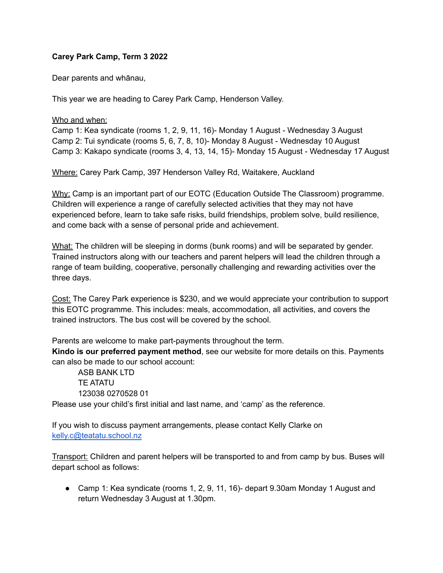## **Carey Park Camp, Term 3 2022**

Dear parents and whānau,

This year we are heading to Carey Park Camp, Henderson Valley.

## Who and when:

Camp 1: Kea syndicate (rooms 1, 2, 9, 11, 16)- Monday 1 August - Wednesday 3 August Camp 2: Tui syndicate (rooms 5, 6, 7, 8, 10)- Monday 8 August - Wednesday 10 August Camp 3: Kakapo syndicate (rooms 3, 4, 13, 14, 15)- Monday 15 August - Wednesday 17 August

Where: Carey Park Camp, 397 Henderson Valley Rd, Waitakere, Auckland

Why: Camp is an important part of our EOTC (Education Outside The Classroom) programme. Children will experience a range of carefully selected activities that they may not have experienced before, learn to take safe risks, build friendships, problem solve, build resilience, and come back with a sense of personal pride and achievement.

What: The children will be sleeping in dorms (bunk rooms) and will be separated by gender. Trained instructors along with our teachers and parent helpers will lead the children through a range of team building, cooperative, personally challenging and rewarding activities over the three days.

Cost: The Carey Park experience is \$230, and we would appreciate your contribution to support this EOTC programme. This includes: meals, accommodation, all activities, and covers the trained instructors. The bus cost will be covered by the school.

Parents are welcome to make part-payments throughout the term.

**Kindo is our preferred payment method**, see our website for more details on this. Payments can also be made to our school account:

ASB BANK LTD TE ATATU 123038 0270528 01

Please use your child's first initial and last name, and 'camp' as the reference.

If you wish to discuss payment arrangements, please contact Kelly Clarke on [kelly.c@teatatu.school.nz](mailto:kelly.c@teatatu.school.nz)

**Transport:** Children and parent helpers will be transported to and from camp by bus. Buses will depart school as follows:

● Camp 1: Kea syndicate (rooms 1, 2, 9, 11, 16)- depart 9.30am Monday 1 August and return Wednesday 3 August at 1.30pm.